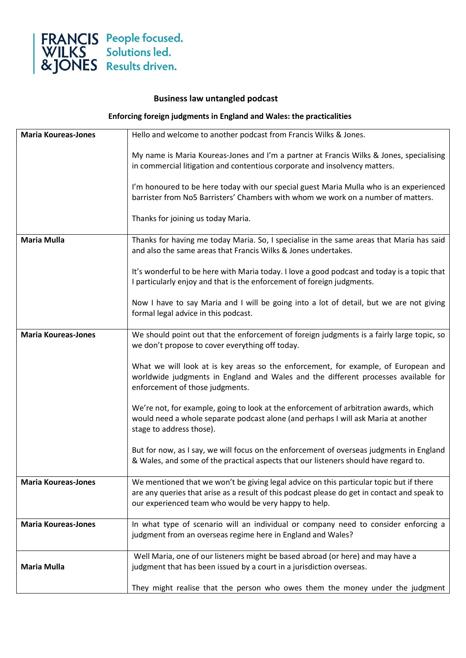

## **Business law untangled podcast**

**Enforcing foreign judgments in England and Wales: the practicalities**

| <b>Maria Koureas-Jones</b> | Hello and welcome to another podcast from Francis Wilks & Jones.                             |
|----------------------------|----------------------------------------------------------------------------------------------|
|                            | My name is Maria Koureas-Jones and I'm a partner at Francis Wilks & Jones, specialising      |
|                            | in commercial litigation and contentious corporate and insolvency matters.                   |
|                            | I'm honoured to be here today with our special guest Maria Mulla who is an experienced       |
|                            | barrister from No5 Barristers' Chambers with whom we work on a number of matters.            |
|                            | Thanks for joining us today Maria.                                                           |
| <b>Maria Mulla</b>         | Thanks for having me today Maria. So, I specialise in the same areas that Maria has said     |
|                            | and also the same areas that Francis Wilks & Jones undertakes.                               |
|                            | It's wonderful to be here with Maria today. I love a good podcast and today is a topic that  |
|                            | I particularly enjoy and that is the enforcement of foreign judgments.                       |
|                            | Now I have to say Maria and I will be going into a lot of detail, but we are not giving      |
|                            | formal legal advice in this podcast.                                                         |
| <b>Maria Koureas-Jones</b> | We should point out that the enforcement of foreign judgments is a fairly large topic, so    |
|                            | we don't propose to cover everything off today.                                              |
|                            | What we will look at is key areas so the enforcement, for example, of European and           |
|                            | worldwide judgments in England and Wales and the different processes available for           |
|                            | enforcement of those judgments.                                                              |
|                            | We're not, for example, going to look at the enforcement of arbitration awards, which        |
|                            | would need a whole separate podcast alone (and perhaps I will ask Maria at another           |
|                            | stage to address those).                                                                     |
|                            | But for now, as I say, we will focus on the enforcement of overseas judgments in England     |
|                            | & Wales, and some of the practical aspects that our listeners should have regard to.         |
| <b>Maria Koureas-Jones</b> | We mentioned that we won't be giving legal advice on this particular topic but if there      |
|                            | are any queries that arise as a result of this podcast please do get in contact and speak to |
|                            | our experienced team who would be very happy to help.                                        |
| <b>Maria Koureas-Jones</b> | In what type of scenario will an individual or company need to consider enforcing a          |
|                            | judgment from an overseas regime here in England and Wales?                                  |
|                            | Well Maria, one of our listeners might be based abroad (or here) and may have a              |
| <b>Maria Mulla</b>         | judgment that has been issued by a court in a jurisdiction overseas.                         |
|                            | They might realise that the person who owes them the money under the judgment                |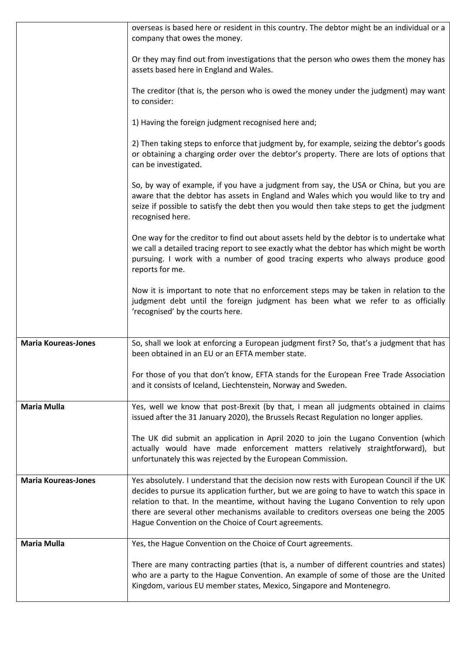|                            | overseas is based here or resident in this country. The debtor might be an individual or a<br>company that owes the money.                                                                                                                                                                                                                                                                                                     |
|----------------------------|--------------------------------------------------------------------------------------------------------------------------------------------------------------------------------------------------------------------------------------------------------------------------------------------------------------------------------------------------------------------------------------------------------------------------------|
|                            | Or they may find out from investigations that the person who owes them the money has<br>assets based here in England and Wales.                                                                                                                                                                                                                                                                                                |
|                            | The creditor (that is, the person who is owed the money under the judgment) may want<br>to consider:                                                                                                                                                                                                                                                                                                                           |
|                            | 1) Having the foreign judgment recognised here and;                                                                                                                                                                                                                                                                                                                                                                            |
|                            | 2) Then taking steps to enforce that judgment by, for example, seizing the debtor's goods<br>or obtaining a charging order over the debtor's property. There are lots of options that<br>can be investigated.                                                                                                                                                                                                                  |
|                            | So, by way of example, if you have a judgment from say, the USA or China, but you are<br>aware that the debtor has assets in England and Wales which you would like to try and<br>seize if possible to satisfy the debt then you would then take steps to get the judgment<br>recognised here.                                                                                                                                 |
|                            | One way for the creditor to find out about assets held by the debtor is to undertake what<br>we call a detailed tracing report to see exactly what the debtor has which might be worth<br>pursuing. I work with a number of good tracing experts who always produce good<br>reports for me.                                                                                                                                    |
|                            | Now it is important to note that no enforcement steps may be taken in relation to the<br>judgment debt until the foreign judgment has been what we refer to as officially<br>'recognised' by the courts here.                                                                                                                                                                                                                  |
| <b>Maria Koureas-Jones</b> | So, shall we look at enforcing a European judgment first? So, that's a judgment that has<br>been obtained in an EU or an EFTA member state.                                                                                                                                                                                                                                                                                    |
|                            | For those of you that don't know, EFTA stands for the European Free Trade Association<br>and it consists of Iceland, Liechtenstein, Norway and Sweden.                                                                                                                                                                                                                                                                         |
| <b>Maria Mulla</b>         | Yes, well we know that post-Brexit (by that, I mean all judgments obtained in claims<br>issued after the 31 January 2020), the Brussels Recast Regulation no longer applies.                                                                                                                                                                                                                                                   |
|                            | The UK did submit an application in April 2020 to join the Lugano Convention (which<br>actually would have made enforcement matters relatively straightforward), but<br>unfortunately this was rejected by the European Commission.                                                                                                                                                                                            |
| <b>Maria Koureas-Jones</b> | Yes absolutely. I understand that the decision now rests with European Council if the UK<br>decides to pursue its application further, but we are going to have to watch this space in<br>relation to that. In the meantime, without having the Lugano Convention to rely upon<br>there are several other mechanisms available to creditors overseas one being the 2005<br>Hague Convention on the Choice of Court agreements. |
| <b>Maria Mulla</b>         | Yes, the Hague Convention on the Choice of Court agreements.                                                                                                                                                                                                                                                                                                                                                                   |
|                            | There are many contracting parties (that is, a number of different countries and states)<br>who are a party to the Hague Convention. An example of some of those are the United<br>Kingdom, various EU member states, Mexico, Singapore and Montenegro.                                                                                                                                                                        |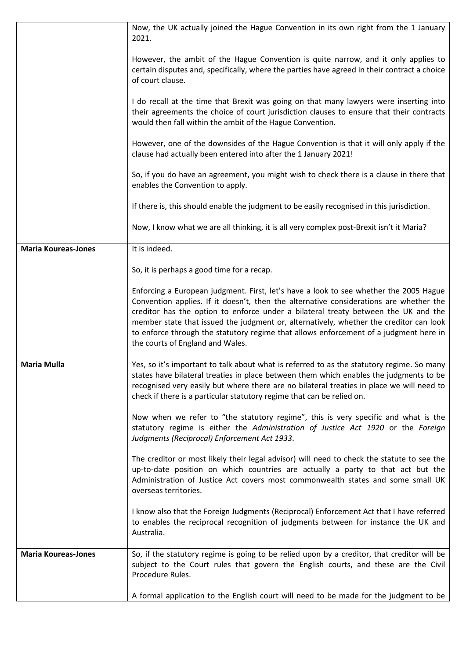|                            | Now, the UK actually joined the Hague Convention in its own right from the 1 January<br>2021.                                                                                                                                                                                                                                                                                                                                                                                                |
|----------------------------|----------------------------------------------------------------------------------------------------------------------------------------------------------------------------------------------------------------------------------------------------------------------------------------------------------------------------------------------------------------------------------------------------------------------------------------------------------------------------------------------|
|                            | However, the ambit of the Hague Convention is quite narrow, and it only applies to<br>certain disputes and, specifically, where the parties have agreed in their contract a choice<br>of court clause.                                                                                                                                                                                                                                                                                       |
|                            | I do recall at the time that Brexit was going on that many lawyers were inserting into<br>their agreements the choice of court jurisdiction clauses to ensure that their contracts<br>would then fall within the ambit of the Hague Convention.                                                                                                                                                                                                                                              |
|                            | However, one of the downsides of the Hague Convention is that it will only apply if the<br>clause had actually been entered into after the 1 January 2021!                                                                                                                                                                                                                                                                                                                                   |
|                            | So, if you do have an agreement, you might wish to check there is a clause in there that<br>enables the Convention to apply.                                                                                                                                                                                                                                                                                                                                                                 |
|                            | If there is, this should enable the judgment to be easily recognised in this jurisdiction.                                                                                                                                                                                                                                                                                                                                                                                                   |
|                            | Now, I know what we are all thinking, it is all very complex post-Brexit isn't it Maria?                                                                                                                                                                                                                                                                                                                                                                                                     |
| <b>Maria Koureas-Jones</b> | It is indeed.                                                                                                                                                                                                                                                                                                                                                                                                                                                                                |
|                            | So, it is perhaps a good time for a recap.                                                                                                                                                                                                                                                                                                                                                                                                                                                   |
|                            | Enforcing a European judgment. First, let's have a look to see whether the 2005 Hague<br>Convention applies. If it doesn't, then the alternative considerations are whether the<br>creditor has the option to enforce under a bilateral treaty between the UK and the<br>member state that issued the judgment or, alternatively, whether the creditor can look<br>to enforce through the statutory regime that allows enforcement of a judgment here in<br>the courts of England and Wales. |
| <b>Maria Mulla</b>         | Yes, so it's important to talk about what is referred to as the statutory regime. So many<br>states have bilateral treaties in place between them which enables the judgments to be<br>recognised very easily but where there are no bilateral treaties in place we will need to<br>check if there is a particular statutory regime that can be relied on.                                                                                                                                   |
|                            | Now when we refer to "the statutory regime", this is very specific and what is the<br>statutory regime is either the Administration of Justice Act 1920 or the Foreign<br>Judgments (Reciprocal) Enforcement Act 1933.                                                                                                                                                                                                                                                                       |
|                            | The creditor or most likely their legal advisor) will need to check the statute to see the<br>up-to-date position on which countries are actually a party to that act but the<br>Administration of Justice Act covers most commonwealth states and some small UK<br>overseas territories.                                                                                                                                                                                                    |
|                            | I know also that the Foreign Judgments (Reciprocal) Enforcement Act that I have referred<br>to enables the reciprocal recognition of judgments between for instance the UK and<br>Australia.                                                                                                                                                                                                                                                                                                 |
| <b>Maria Koureas-Jones</b> | So, if the statutory regime is going to be relied upon by a creditor, that creditor will be<br>subject to the Court rules that govern the English courts, and these are the Civil<br>Procedure Rules.                                                                                                                                                                                                                                                                                        |
|                            | A formal application to the English court will need to be made for the judgment to be                                                                                                                                                                                                                                                                                                                                                                                                        |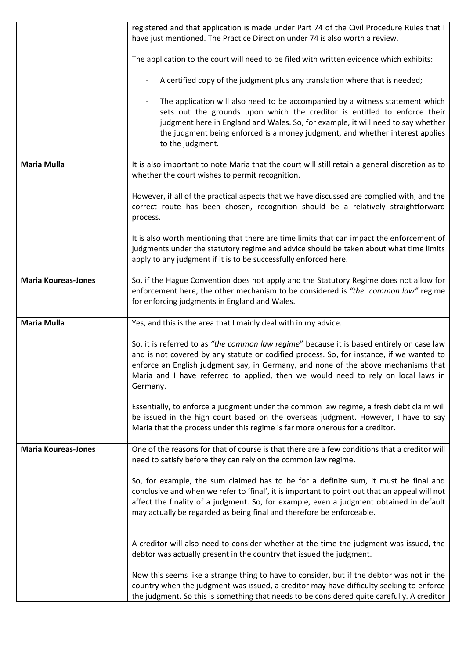|                            | registered and that application is made under Part 74 of the Civil Procedure Rules that I<br>have just mentioned. The Practice Direction under 74 is also worth a review.                                                                                                                                                                                                    |
|----------------------------|------------------------------------------------------------------------------------------------------------------------------------------------------------------------------------------------------------------------------------------------------------------------------------------------------------------------------------------------------------------------------|
|                            | The application to the court will need to be filed with written evidence which exhibits:                                                                                                                                                                                                                                                                                     |
|                            | A certified copy of the judgment plus any translation where that is needed;                                                                                                                                                                                                                                                                                                  |
|                            | The application will also need to be accompanied by a witness statement which<br>sets out the grounds upon which the creditor is entitled to enforce their<br>judgment here in England and Wales. So, for example, it will need to say whether<br>the judgment being enforced is a money judgment, and whether interest applies<br>to the judgment.                          |
| <b>Maria Mulla</b>         | It is also important to note Maria that the court will still retain a general discretion as to<br>whether the court wishes to permit recognition.                                                                                                                                                                                                                            |
|                            | However, if all of the practical aspects that we have discussed are complied with, and the<br>correct route has been chosen, recognition should be a relatively straightforward<br>process.                                                                                                                                                                                  |
|                            | It is also worth mentioning that there are time limits that can impact the enforcement of<br>judgments under the statutory regime and advice should be taken about what time limits<br>apply to any judgment if it is to be successfully enforced here.                                                                                                                      |
| <b>Maria Koureas-Jones</b> | So, if the Hague Convention does not apply and the Statutory Regime does not allow for<br>enforcement here, the other mechanism to be considered is "the common law" regime<br>for enforcing judgments in England and Wales.                                                                                                                                                 |
| <b>Maria Mulla</b>         | Yes, and this is the area that I mainly deal with in my advice.                                                                                                                                                                                                                                                                                                              |
|                            | So, it is referred to as "the common law regime" because it is based entirely on case law<br>and is not covered by any statute or codified process. So, for instance, if we wanted to<br>enforce an English judgment say, in Germany, and none of the above mechanisms that<br>Maria and I have referred to applied, then we would need to rely on local laws in<br>Germany. |
|                            | Essentially, to enforce a judgment under the common law regime, a fresh debt claim will<br>be issued in the high court based on the overseas judgment. However, I have to say<br>Maria that the process under this regime is far more onerous for a creditor.                                                                                                                |
| <b>Maria Koureas-Jones</b> | One of the reasons for that of course is that there are a few conditions that a creditor will<br>need to satisfy before they can rely on the common law regime.                                                                                                                                                                                                              |
|                            | So, for example, the sum claimed has to be for a definite sum, it must be final and<br>conclusive and when we refer to 'final', it is important to point out that an appeal will not<br>affect the finality of a judgment. So, for example, even a judgment obtained in default<br>may actually be regarded as being final and therefore be enforceable.                     |
|                            | A creditor will also need to consider whether at the time the judgment was issued, the<br>debtor was actually present in the country that issued the judgment.                                                                                                                                                                                                               |
|                            | Now this seems like a strange thing to have to consider, but if the debtor was not in the<br>country when the judgment was issued, a creditor may have difficulty seeking to enforce<br>the judgment. So this is something that needs to be considered quite carefully. A creditor                                                                                           |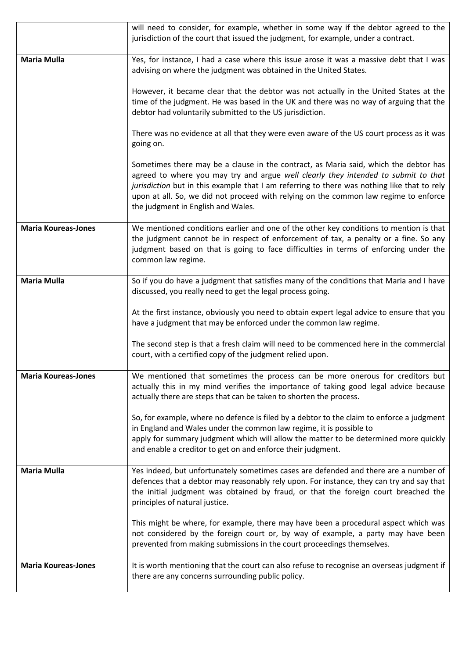|                            | will need to consider, for example, whether in some way if the debtor agreed to the<br>jurisdiction of the court that issued the judgment, for example, under a contract.                                                                                                                                                                                                                               |
|----------------------------|---------------------------------------------------------------------------------------------------------------------------------------------------------------------------------------------------------------------------------------------------------------------------------------------------------------------------------------------------------------------------------------------------------|
| Maria Mulla                | Yes, for instance, I had a case where this issue arose it was a massive debt that I was<br>advising on where the judgment was obtained in the United States.                                                                                                                                                                                                                                            |
|                            | However, it became clear that the debtor was not actually in the United States at the<br>time of the judgment. He was based in the UK and there was no way of arguing that the<br>debtor had voluntarily submitted to the US jurisdiction.                                                                                                                                                              |
|                            | There was no evidence at all that they were even aware of the US court process as it was<br>going on.                                                                                                                                                                                                                                                                                                   |
|                            | Sometimes there may be a clause in the contract, as Maria said, which the debtor has<br>agreed to where you may try and argue well clearly they intended to submit to that<br>jurisdiction but in this example that I am referring to there was nothing like that to rely<br>upon at all. So, we did not proceed with relying on the common law regime to enforce<br>the judgment in English and Wales. |
| <b>Maria Koureas-Jones</b> | We mentioned conditions earlier and one of the other key conditions to mention is that<br>the judgment cannot be in respect of enforcement of tax, a penalty or a fine. So any<br>judgment based on that is going to face difficulties in terms of enforcing under the<br>common law regime.                                                                                                            |
| <b>Maria Mulla</b>         | So if you do have a judgment that satisfies many of the conditions that Maria and I have<br>discussed, you really need to get the legal process going.                                                                                                                                                                                                                                                  |
|                            | At the first instance, obviously you need to obtain expert legal advice to ensure that you<br>have a judgment that may be enforced under the common law regime.                                                                                                                                                                                                                                         |
|                            | The second step is that a fresh claim will need to be commenced here in the commercial<br>court, with a certified copy of the judgment relied upon.                                                                                                                                                                                                                                                     |
| <b>Maria Koureas-Jones</b> | We mentioned that sometimes the process can be more onerous for creditors but<br>actually this in my mind verifies the importance of taking good legal advice because<br>actually there are steps that can be taken to shorten the process.                                                                                                                                                             |
|                            | So, for example, where no defence is filed by a debtor to the claim to enforce a judgment<br>in England and Wales under the common law regime, it is possible to<br>apply for summary judgment which will allow the matter to be determined more quickly<br>and enable a creditor to get on and enforce their judgment.                                                                                 |
| <b>Maria Mulla</b>         | Yes indeed, but unfortunately sometimes cases are defended and there are a number of<br>defences that a debtor may reasonably rely upon. For instance, they can try and say that<br>the initial judgment was obtained by fraud, or that the foreign court breached the<br>principles of natural justice.                                                                                                |
|                            | This might be where, for example, there may have been a procedural aspect which was<br>not considered by the foreign court or, by way of example, a party may have been<br>prevented from making submissions in the court proceedings themselves.                                                                                                                                                       |
| <b>Maria Koureas-Jones</b> | It is worth mentioning that the court can also refuse to recognise an overseas judgment if<br>there are any concerns surrounding public policy.                                                                                                                                                                                                                                                         |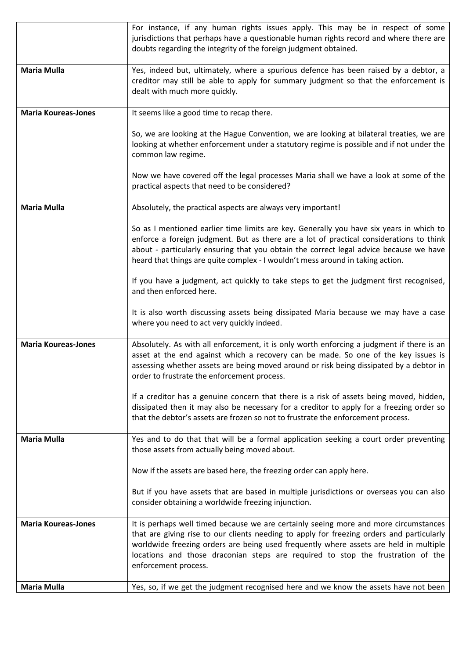|                            | For instance, if any human rights issues apply. This may be in respect of some<br>jurisdictions that perhaps have a questionable human rights record and where there are<br>doubts regarding the integrity of the foreign judgment obtained.                                                                                                                                          |
|----------------------------|---------------------------------------------------------------------------------------------------------------------------------------------------------------------------------------------------------------------------------------------------------------------------------------------------------------------------------------------------------------------------------------|
| <b>Maria Mulla</b>         | Yes, indeed but, ultimately, where a spurious defence has been raised by a debtor, a<br>creditor may still be able to apply for summary judgment so that the enforcement is<br>dealt with much more quickly.                                                                                                                                                                          |
| <b>Maria Koureas-Jones</b> | It seems like a good time to recap there.                                                                                                                                                                                                                                                                                                                                             |
|                            | So, we are looking at the Hague Convention, we are looking at bilateral treaties, we are<br>looking at whether enforcement under a statutory regime is possible and if not under the<br>common law regime.                                                                                                                                                                            |
|                            | Now we have covered off the legal processes Maria shall we have a look at some of the<br>practical aspects that need to be considered?                                                                                                                                                                                                                                                |
| <b>Maria Mulla</b>         | Absolutely, the practical aspects are always very important!                                                                                                                                                                                                                                                                                                                          |
|                            | So as I mentioned earlier time limits are key. Generally you have six years in which to<br>enforce a foreign judgment. But as there are a lot of practical considerations to think<br>about - particularly ensuring that you obtain the correct legal advice because we have<br>heard that things are quite complex - I wouldn't mess around in taking action.                        |
|                            | If you have a judgment, act quickly to take steps to get the judgment first recognised,<br>and then enforced here.                                                                                                                                                                                                                                                                    |
|                            | It is also worth discussing assets being dissipated Maria because we may have a case<br>where you need to act very quickly indeed.                                                                                                                                                                                                                                                    |
| <b>Maria Koureas-Jones</b> | Absolutely. As with all enforcement, it is only worth enforcing a judgment if there is an<br>asset at the end against which a recovery can be made. So one of the key issues is<br>assessing whether assets are being moved around or risk being dissipated by a debtor in<br>order to frustrate the enforcement process.                                                             |
|                            | If a creditor has a genuine concern that there is a risk of assets being moved, hidden,<br>dissipated then it may also be necessary for a creditor to apply for a freezing order so<br>that the debtor's assets are frozen so not to frustrate the enforcement process.                                                                                                               |
| <b>Maria Mulla</b>         | Yes and to do that that will be a formal application seeking a court order preventing<br>those assets from actually being moved about.                                                                                                                                                                                                                                                |
|                            | Now if the assets are based here, the freezing order can apply here.                                                                                                                                                                                                                                                                                                                  |
|                            | But if you have assets that are based in multiple jurisdictions or overseas you can also<br>consider obtaining a worldwide freezing injunction.                                                                                                                                                                                                                                       |
| <b>Maria Koureas-Jones</b> | It is perhaps well timed because we are certainly seeing more and more circumstances<br>that are giving rise to our clients needing to apply for freezing orders and particularly<br>worldwide freezing orders are being used frequently where assets are held in multiple<br>locations and those draconian steps are required to stop the frustration of the<br>enforcement process. |
| <b>Maria Mulla</b>         | Yes, so, if we get the judgment recognised here and we know the assets have not been                                                                                                                                                                                                                                                                                                  |